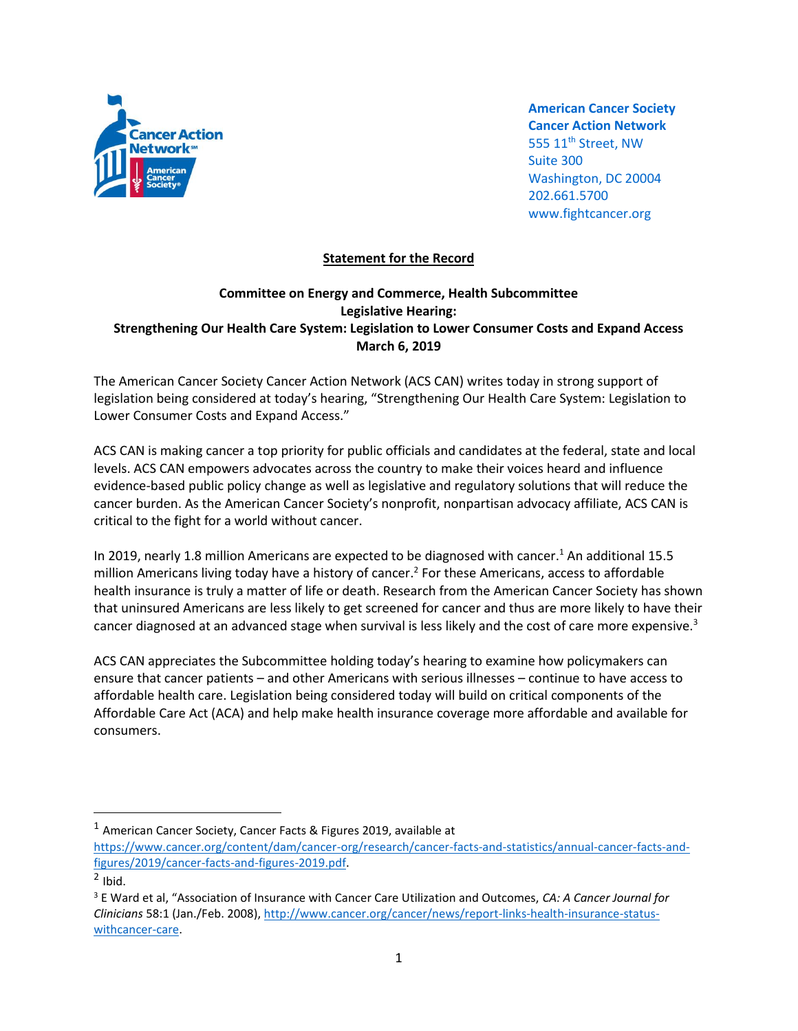

**American Cancer Society Cancer Action Network** 555 11<sup>th</sup> Street, NW Suite 300 Washington, DC 20004 202.661.5700 www.fightcancer.org

## **Statement for the Record**

## **Committee on Energy and Commerce, Health Subcommittee Legislative Hearing: Strengthening Our Health Care System: Legislation to Lower Consumer Costs and Expand Access March 6, 2019**

The American Cancer Society Cancer Action Network (ACS CAN) writes today in strong support of legislation being considered at today's hearing, "Strengthening Our Health Care System: Legislation to Lower Consumer Costs and Expand Access."

ACS CAN is making cancer a top priority for public officials and candidates at the federal, state and local levels. ACS CAN empowers advocates across the country to make their voices heard and influence evidence-based public policy change as well as legislative and regulatory solutions that will reduce the cancer burden. As the American Cancer Society's nonprofit, nonpartisan advocacy affiliate, ACS CAN is critical to the fight for a world without cancer.

In 2019, nearly 1.8 million Americans are expected to be diagnosed with cancer.<sup>1</sup> An additional 15.5 million Americans living today have a history of cancer.<sup>2</sup> For these Americans, access to affordable health insurance is truly a matter of life or death. Research from the American Cancer Society has shown that uninsured Americans are less likely to get screened for cancer and thus are more likely to have their cancer diagnosed at an advanced stage when survival is less likely and the cost of care more expensive.<sup>3</sup>

ACS CAN appreciates the Subcommittee holding today's hearing to examine how policymakers can ensure that cancer patients – and other Americans with serious illnesses – continue to have access to affordable health care. Legislation being considered today will build on critical components of the Affordable Care Act (ACA) and help make health insurance coverage more affordable and available for consumers.

 $\overline{\phantom{a}}$ 

 $1$  American Cancer Society, Cancer Facts & Figures 2019, available at

[https://www.cancer.org/content/dam/cancer-org/research/cancer-facts-and-statistics/annual-cancer-facts-and](https://www.cancer.org/content/dam/cancer-org/research/cancer-facts-and-statistics/annual-cancer-facts-and-figures/2019/cancer-facts-and-figures-2019.pdf)[figures/2019/cancer-facts-and-figures-2019.pdf.](https://www.cancer.org/content/dam/cancer-org/research/cancer-facts-and-statistics/annual-cancer-facts-and-figures/2019/cancer-facts-and-figures-2019.pdf)

 $<sup>2</sup>$  Ibid.</sup>

<sup>3</sup> E Ward et al, "Association of Insurance with Cancer Care Utilization and Outcomes, *CA: A Cancer Journal for Clinicians* 58:1 (Jan./Feb. 2008)[, http://www.cancer.org/cancer/news/report-links-health-insurance-status](http://www.cancer.org/cancer/news/report-links-health-insurance-status-withcancer-care)[withcancer-care.](http://www.cancer.org/cancer/news/report-links-health-insurance-status-withcancer-care)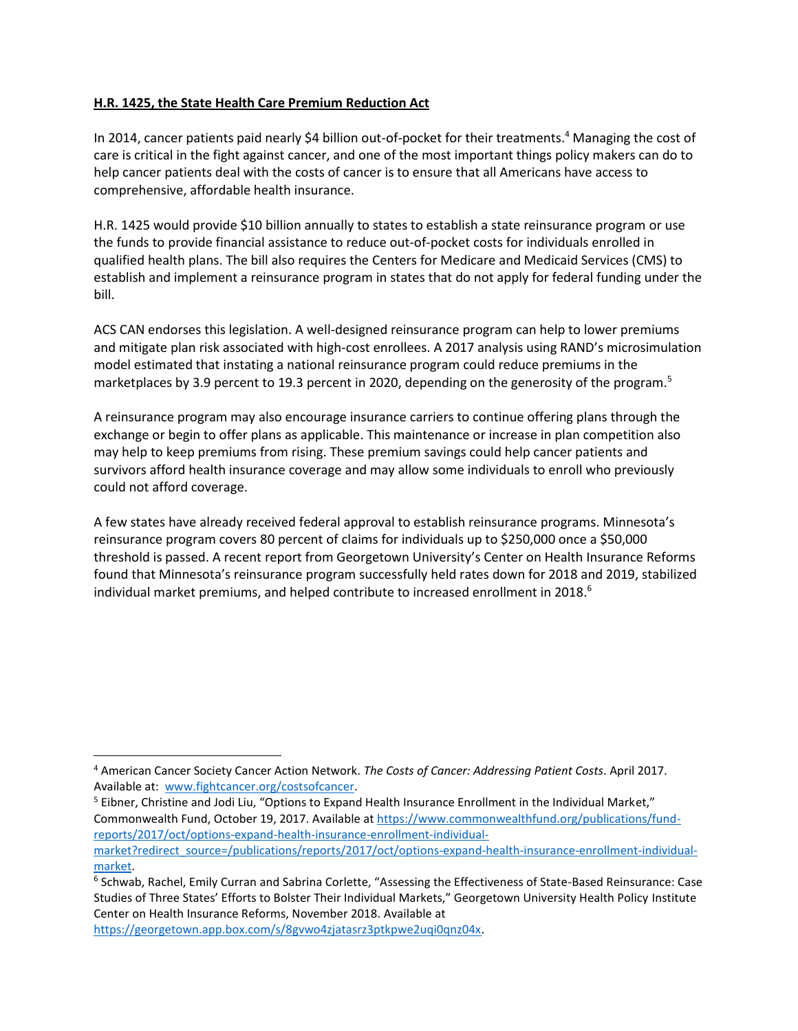## **H.R. 1425, the State Health Care Premium Reduction Act**

In 2014, cancer patients paid nearly \$4 billion out-of-pocket for their treatments.<sup>4</sup> Managing the cost of care is critical in the fight against cancer, and one of the most important things policy makers can do to help cancer patients deal with the costs of cancer is to ensure that all Americans have access to comprehensive, affordable health insurance.

H.R. 1425 would provide \$10 billion annually to states to establish a state reinsurance program or use the funds to provide financial assistance to reduce out-of-pocket costs for individuals enrolled in qualified health plans. The bill also requires the Centers for Medicare and Medicaid Services (CMS) to establish and implement a reinsurance program in states that do not apply for federal funding under the bill.

ACS CAN endorses this legislation. A well-designed reinsurance program can help to lower premiums and mitigate plan risk associated with high-cost enrollees. A 2017 analysis using RAND's microsimulation model estimated that instating a national reinsurance program could reduce premiums in the marketplaces by 3.9 percent to 19.3 percent in 2020, depending on the generosity of the program.<sup>5</sup>

A reinsurance program may also encourage insurance carriers to continue offering plans through the exchange or begin to offer plans as applicable. This maintenance or increase in plan competition also may help to keep premiums from rising. These premium savings could help cancer patients and survivors afford health insurance coverage and may allow some individuals to enroll who previously could not afford coverage.

A few states have already received federal approval to establish reinsurance programs. Minnesota's reinsurance program covers 80 percent of claims for individuals up to \$250,000 once a \$50,000 threshold is passed. A recent report from Georgetown University's Center on Health Insurance Reforms found that Minnesota's reinsurance program successfully held rates down for 2018 and 2019, stabilized individual market premiums, and helped contribute to increased enrollment in  $2018.<sup>6</sup>$ 

<sup>5</sup> Eibner, Christine and Jodi Liu, "Options to Expand Health Insurance Enrollment in the Individual Market," Commonwealth Fund, October 19, 2017. Available a[t https://www.commonwealthfund.org/publications/fund](https://www.commonwealthfund.org/publications/fund-reports/2017/oct/options-expand-health-insurance-enrollment-individual-market?redirect_source=/publications/reports/2017/oct/options-expand-health-insurance-enrollment-individual-market)[reports/2017/oct/options-expand-health-insurance-enrollment-individual](https://www.commonwealthfund.org/publications/fund-reports/2017/oct/options-expand-health-insurance-enrollment-individual-market?redirect_source=/publications/reports/2017/oct/options-expand-health-insurance-enrollment-individual-market)[market?redirect\\_source=/publications/reports/2017/oct/options-expand-health-insurance-enrollment-individual](https://www.commonwealthfund.org/publications/fund-reports/2017/oct/options-expand-health-insurance-enrollment-individual-market?redirect_source=/publications/reports/2017/oct/options-expand-health-insurance-enrollment-individual-market)[market.](https://www.commonwealthfund.org/publications/fund-reports/2017/oct/options-expand-health-insurance-enrollment-individual-market?redirect_source=/publications/reports/2017/oct/options-expand-health-insurance-enrollment-individual-market)

[https://georgetown.app.box.com/s/8gvwo4zjatasrz3ptkpwe2uqi0qnz04x.](https://georgetown.app.box.com/s/8gvwo4zjatasrz3ptkpwe2uqi0qnz04x) 

 $\overline{\phantom{a}}$ 

<sup>4</sup> American Cancer Society Cancer Action Network. *The Costs of Cancer: Addressing Patient Costs*. April 2017. Available at: [www.fightcancer.org/costsofcancer.](http://www.fightcancer.org/costsofcancer)

<sup>6</sup> Schwab, Rachel, Emily Curran and Sabrina Corlette, "Assessing the Effectiveness of State-Based Reinsurance: Case Studies of Three States' Efforts to Bolster Their Individual Markets," Georgetown University Health Policy Institute Center on Health Insurance Reforms, November 2018. Available at